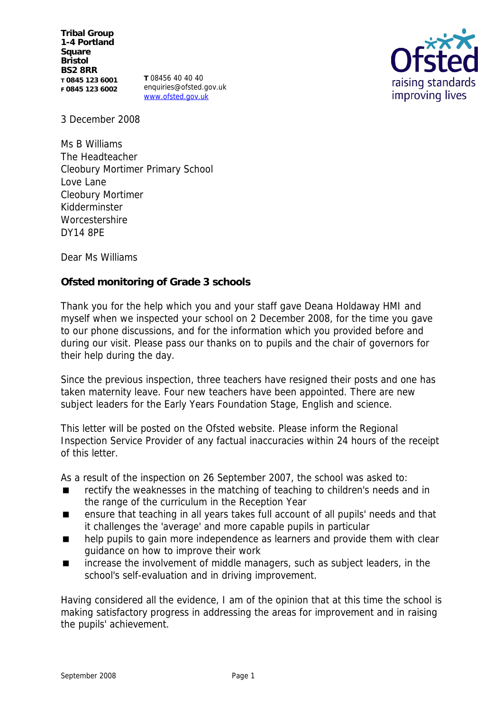**Tribal Group 1-4 Portland Square Bristol BS2 8RR T 0845 123 6001 F 0845 123 6002**

**T** 08456 40 40 40 enquiries@ofsted.gov.uk www.ofsted.gov.uk



3 December 2008

Ms B Williams The Headteacher Cleobury Mortimer Primary School Love Lane Cleobury Mortimer Kidderminster **Worcestershire** DY14 8PE

Dear Ms Williams

**Ofsted monitoring of Grade 3 schools** 

Thank you for the help which you and your staff gave Deana Holdaway HMI and myself when we inspected your school on 2 December 2008, for the time you gave to our phone discussions, and for the information which you provided before and during our visit. Please pass our thanks on to pupils and the chair of governors for their help during the day.

Since the previous inspection, three teachers have resigned their posts and one has taken maternity leave. Four new teachers have been appointed. There are new subject leaders for the Early Years Foundation Stage, English and science.

This letter will be posted on the Ofsted website. Please inform the Regional Inspection Service Provider of any factual inaccuracies within 24 hours of the receipt of this letter.

As a result of the inspection on 26 September 2007, the school was asked to:

- rectify the weaknesses in the matching of teaching to children's needs and in the range of the curriculum in the Reception Year
- ensure that teaching in all years takes full account of all pupils' needs and that it challenges the 'average' and more capable pupils in particular
- help pupils to gain more independence as learners and provide them with clear guidance on how to improve their work
- increase the involvement of middle managers, such as subject leaders, in the school's self-evaluation and in driving improvement.

Having considered all the evidence, I am of the opinion that at this time the school is making satisfactory progress in addressing the areas for improvement and in raising the pupils' achievement.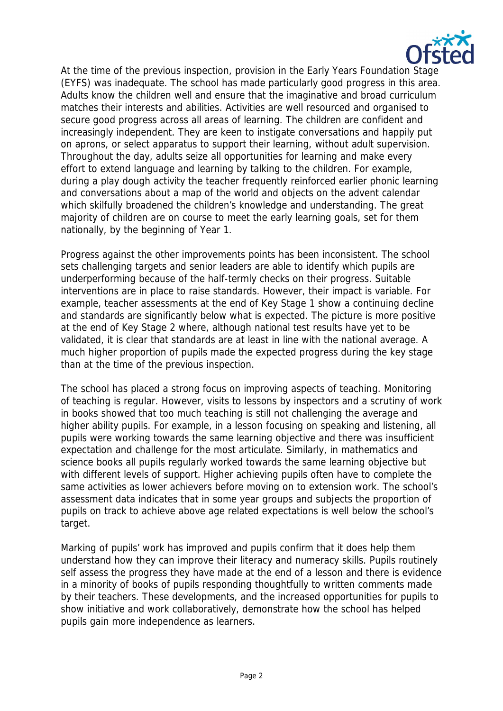

At the time of the previous inspection, provision in the Early Years Foundation Stage (EYFS) was inadequate. The school has made particularly good progress in this area. Adults know the children well and ensure that the imaginative and broad curriculum matches their interests and abilities. Activities are well resourced and organised to secure good progress across all areas of learning. The children are confident and increasingly independent. They are keen to instigate conversations and happily put on aprons, or select apparatus to support their learning, without adult supervision. Throughout the day, adults seize all opportunities for learning and make every effort to extend language and learning by talking to the children. For example, during a play dough activity the teacher frequently reinforced earlier phonic learning and conversations about a map of the world and objects on the advent calendar which skilfully broadened the children's knowledge and understanding. The great majority of children are on course to meet the early learning goals, set for them nationally, by the beginning of Year 1.

Progress against the other improvements points has been inconsistent. The school sets challenging targets and senior leaders are able to identify which pupils are underperforming because of the half-termly checks on their progress. Suitable interventions are in place to raise standards. However, their impact is variable. For example, teacher assessments at the end of Key Stage 1 show a continuing decline and standards are significantly below what is expected. The picture is more positive at the end of Key Stage 2 where, although national test results have yet to be validated, it is clear that standards are at least in line with the national average. A much higher proportion of pupils made the expected progress during the key stage than at the time of the previous inspection.

The school has placed a strong focus on improving aspects of teaching. Monitoring of teaching is regular. However, visits to lessons by inspectors and a scrutiny of work in books showed that too much teaching is still not challenging the average and higher ability pupils. For example, in a lesson focusing on speaking and listening, all pupils were working towards the same learning objective and there was insufficient expectation and challenge for the most articulate. Similarly, in mathematics and science books all pupils regularly worked towards the same learning objective but with different levels of support. Higher achieving pupils often have to complete the same activities as lower achievers before moving on to extension work. The school's assessment data indicates that in some year groups and subjects the proportion of pupils on track to achieve above age related expectations is well below the school's target.

Marking of pupils' work has improved and pupils confirm that it does help them understand how they can improve their literacy and numeracy skills. Pupils routinely self assess the progress they have made at the end of a lesson and there is evidence in a minority of books of pupils responding thoughtfully to written comments made by their teachers. These developments, and the increased opportunities for pupils to show initiative and work collaboratively, demonstrate how the school has helped pupils gain more independence as learners.